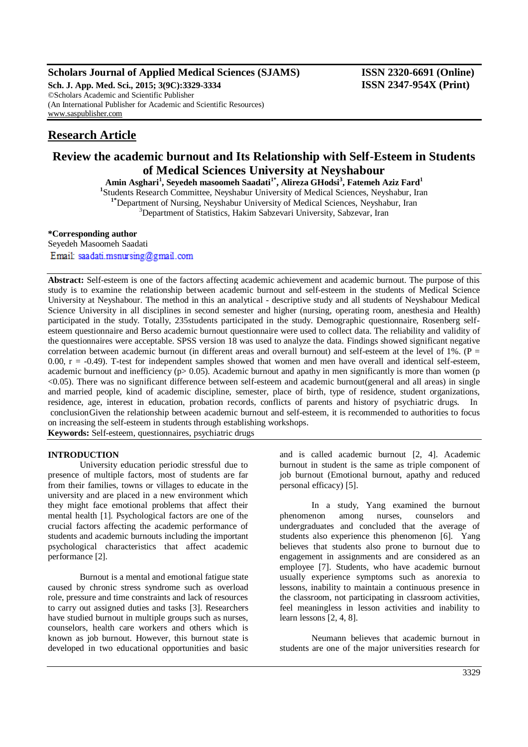# **Scholars Journal of Applied Medical Sciences (SJAMS) ISSN 2320-6691 (Online)**

**Sch. J. App. Med. Sci., 2015; 3(9C):3329-3334 ISSN 2347-954X (Print)** ©Scholars Academic and Scientific Publisher (An International Publisher for Academic and Scientific Resources) [www.saspublisher.com](http://www.saspublisher.com/)

# **Research Article**

# **Review the academic burnout and Its Relationship with Self-Esteem in Students of Medical Sciences University at Neyshabour**

**Amin Asghari<sup>1</sup> , Seyedeh masoomeh Saadati1\*, Alireza GHodsi<sup>3</sup> , Fatemeh Aziz Fard<sup>1</sup>** <sup>1</sup>Students Research Committee, Neyshabur University of Medical Sciences, Neyshabur, Iran **1\***Department of Nursing, Neyshabur University of Medical Sciences, Neyshabur, Iran <sup>3</sup>Department of Statistics, Hakim Sabzevari University, Sabzevar, Iran

#### **\*Corresponding author**

Seyedeh Masoomeh Saadati Email: saadati.msnursing@gmail.com

**Abstract:** Self-esteem is one of the factors affecting academic achievement and academic burnout. The purpose of this study is to examine the relationship between academic burnout and self-esteem in the students of Medical Science University at Neyshabour. The method in this an analytical - descriptive study and all students of Neyshabour Medical Science University in all disciplines in second semester and higher (nursing, operating room, anesthesia and Health) participated in the study. Totally, 235students participated in the study. Demographic questionnaire, Rosenberg selfesteem questionnaire and Berso academic burnout questionnaire were used to collect data. The reliability and validity of the questionnaires were acceptable. SPSS version 18 was used to analyze the data. Findings showed significant negative correlation between academic burnout (in different areas and overall burnout) and self-esteem at the level of  $1\%$ . (P = 0.00,  $r = -0.49$ ). T-test for independent samples showed that women and men have overall and identical self-esteem, academic burnout and inefficiency ( $p$  = 0.05). Academic burnout and apathy in men significantly is more than women ( $p$ ) <0.05). There was no significant difference between self-esteem and academic burnout(general and all areas) in single and married people, kind of academic discipline, semester, place of birth, type of residence, student organizations, residence, age, interest in education, probation records, conflicts of parents and history of psychiatric drugs. In conclusionGiven the relationship between academic burnout and self-esteem, it is recommended to authorities to focus on increasing the self-esteem in students through establishing workshops. **Keywords:** Self-esteem, questionnaires, psychiatric drugs

**INTRODUCTION**

University education periodic stressful due to presence of multiple factors, most of students are far from their families, towns or villages to educate in the university and are placed in a new environment which they might face emotional problems that affect their mental health [1]. Psychological factors are one of the crucial factors affecting the academic performance of students and academic burnouts including the important psychological characteristics that affect academic performance [2].

Burnout is a mental and emotional fatigue state caused by chronic stress syndrome such as overload role, pressure and time constraints and lack of resources to carry out assigned duties and tasks [3]. Researchers have studied burnout in multiple groups such as nurses, counselors, health care workers and others which is known as job burnout. However, this burnout state is developed in two educational opportunities and basic

and is called academic burnout [2, 4]. Academic burnout in student is the same as triple component of job burnout (Emotional burnout, apathy and reduced personal efficacy) [5].

In a study, Yang examined the burnout phenomenon among nurses, counselors and undergraduates and concluded that the average of students also experience this phenomenon [6]. Yang believes that students also prone to burnout due to engagement in assignments and are considered as an employee [7]. Students, who have academic burnout usually experience symptoms such as anorexia to lessons, inability to maintain a continuous presence in the classroom, not participating in classroom activities, feel meaningless in lesson activities and inability to learn lessons [2, 4, 8].

Neumann believes that academic burnout in students are one of the major universities research for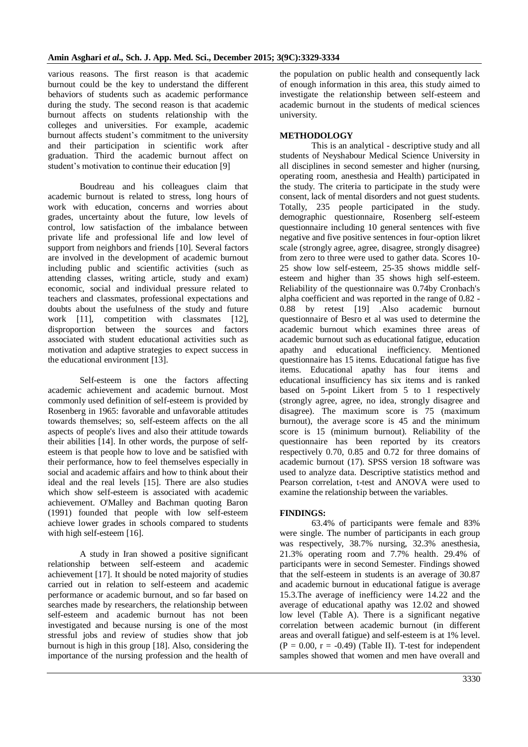various reasons. The first reason is that academic burnout could be the key to understand the different behaviors of students such as academic performance during the study. The second reason is that academic burnout affects on students relationship with the colleges and universities. For example, academic burnout affects student's commitment to the university and their participation in scientific work after graduation. Third the academic burnout affect on student's motivation to continue their education [9]

Boudreau and his colleagues claim that academic burnout is related to stress, long hours of work with education, concerns and worries about grades, uncertainty about the future, low levels of control, low satisfaction of the imbalance between private life and professional life and low level of support from neighbors and friends [10]. Several factors are involved in the development of academic burnout including public and scientific activities (such as attending classes, writing article, study and exam) economic, social and individual pressure related to teachers and classmates, professional expectations and doubts about the usefulness of the study and future work [11], competition with classmates [12], disproportion between the sources and factors associated with student educational activities such as motivation and adaptive strategies to expect success in the educational environment [13].

Self-esteem is one the factors affecting academic achievement and academic burnout. Most commonly used definition of self-esteem is provided by Rosenberg in 1965: favorable and unfavorable attitudes towards themselves; so, self-esteem affects on the all aspects of people's lives and also their attitude towards their abilities [14]. In other words, the purpose of selfesteem is that people how to love and be satisfied with their performance, how to feel themselves especially in social and academic affairs and how to think about their ideal and the real levels [15]. There are also studies which show self-esteem is associated with academic achievement. O'Malley and Bachman quoting Baron (1991) founded that people with low self-esteem achieve lower grades in schools compared to students with high self-esteem [16].

A study in Iran showed a positive significant relationship between self-esteem and academic achievement [17]. It should be noted majority of studies carried out in relation to self-esteem and academic performance or academic burnout, and so far based on searches made by researchers, the relationship between self-esteem and academic burnout has not been investigated and because nursing is one of the most stressful jobs and review of studies show that job burnout is high in this group [18]. Also, considering the importance of the nursing profession and the health of the population on public health and consequently lack of enough information in this area, this study aimed to investigate the relationship between self-esteem and academic burnout in the students of medical sciences university.

## **METHODOLOGY**

This is an analytical - descriptive study and all students of Neyshabour Medical Science University in all disciplines in second semester and higher (nursing, operating room, anesthesia and Health) participated in the study. The criteria to participate in the study were consent, lack of mental disorders and not guest students. Totally, 235 people participated in the study. demographic questionnaire, Rosenberg self-esteem questionnaire including 10 general sentences with five negative and five positive sentences in four-option likret scale (strongly agree, agree, disagree, strongly disagree) from zero to three were used to gather data. Scores 10- 25 show low self-esteem, 25-35 shows middle selfesteem and higher than 35 shows high self-esteem. Reliability of the questionnaire was 0.74by Cronbach's alpha coefficient and was reported in the range of 0.82 - 0.88 by retest [19] .Also academic burnout questionnaire of Besro et al was used to determine the academic burnout which examines three areas of academic burnout such as educational fatigue, education apathy and educational inefficiency. Mentioned questionnaire has 15 items. Educational fatigue has five items. Educational apathy has four items and educational insufficiency has six items and is ranked based on 5-point Likert from 5 to 1 respectively (strongly agree, agree, no idea, strongly disagree and disagree). The maximum score is 75 (maximum burnout), the average score is 45 and the minimum score is 15 (minimum burnout). Reliability of the questionnaire has been reported by its creators respectively 0.70, 0.85 and 0.72 for three domains of academic burnout (17). SPSS version 18 software was used to analyze data. Descriptive statistics method and Pearson correlation, t-test and ANOVA were used to examine the relationship between the variables.

# **FINDINGS:**

63.4% of participants were female and 83% were single. The number of participants in each group was respectively, 38.7% nursing, 32.3% anesthesia, 21.3% operating room and 7.7% health. 29.4% of participants were in second Semester. Findings showed that the self-esteem in students is an average of 30.87 and academic burnout in educational fatigue is average 15.3.The average of inefficiency were 14.22 and the average of educational apathy was 12.02 and showed low level (Table A). There is a significant negative correlation between academic burnout (in different areas and overall fatigue) and self-esteem is at 1% level.  $(P = 0.00, r = -0.49)$  (Table II). T-test for independent samples showed that women and men have overall and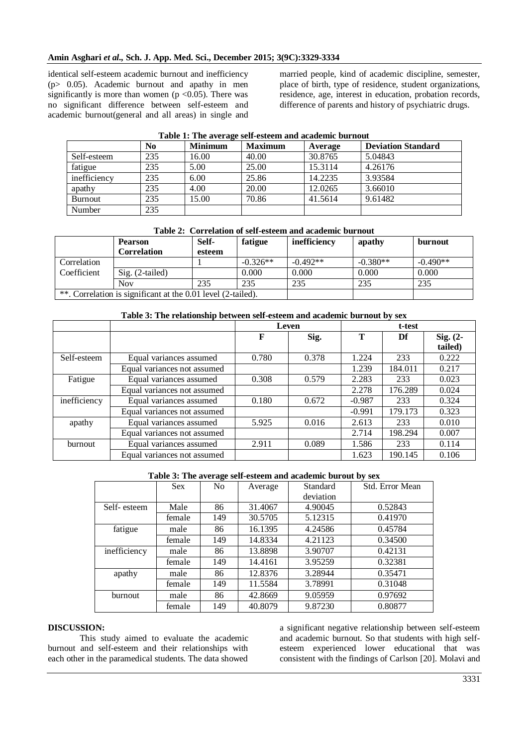#### **Amin Asghari** *et al.,* **Sch. J. App. Med. Sci., December 2015; 3(9C):3329-3334**

identical self-esteem academic burnout and inefficiency  $(p> 0.05)$ . Academic burnout and apathy in men significantly is more than women ( $p < 0.05$ ). There was no significant difference between self-esteem and academic burnout(general and all areas) in single and married people, kind of academic discipline, semester, place of birth, type of residence, student organizations, residence, age, interest in education, probation records, difference of parents and history of psychiatric drugs.

| $-$ which is a line we will work workwall will we were claimed to the literature |     |                |                |         |                           |  |
|----------------------------------------------------------------------------------|-----|----------------|----------------|---------|---------------------------|--|
|                                                                                  | No  | <b>Minimum</b> | <b>Maximum</b> | Average | <b>Deviation Standard</b> |  |
| Self-esteem                                                                      | 235 | 16.00          | 40.00          | 30.8765 | 5.04843                   |  |
| fatigue                                                                          | 235 | 5.00           | 25.00          | 15.3114 | 4.26176                   |  |
| inefficiency                                                                     | 235 | 6.00           | 25.86          | 14.2235 | 3.93584                   |  |
| apathy                                                                           | 235 | 4.00           | 20.00          | 12.0265 | 3.66010                   |  |
| Burnout                                                                          | 235 | 15.00          | 70.86          | 41.5614 | 9.61482                   |  |
| Number                                                                           | 235 |                |                |         |                           |  |

#### **Table 1: The average self-esteem and academic burnout**

|  |  | Table 2: Correlation of self-esteem and academic burnout |
|--|--|----------------------------------------------------------|
|--|--|----------------------------------------------------------|

|                                                              | <b>Pearson</b><br><b>Correlation</b> | Self-<br>esteem | fatigue    | inefficiency | apathy     | burnout    |
|--------------------------------------------------------------|--------------------------------------|-----------------|------------|--------------|------------|------------|
| Correlation                                                  |                                      |                 | $-0.326**$ | $-0.492**$   | $-0.380**$ | $-0.490**$ |
| Coefficient                                                  | $Sig. (2-tailed)$                    |                 | 0.000      | 0.000        | 0.000      | 0.000      |
|                                                              | <b>Nov</b>                           | 235             | 235        | 235          | 235        | 235        |
| **. Correlation is significant at the 0.01 level (2-tailed). |                                      |                 |            |              |            |            |

## **Table 3: The relationship between self-esteem and academic burnout by sex**

|              |                             | Leven |       | t-test   |         |                       |
|--------------|-----------------------------|-------|-------|----------|---------|-----------------------|
|              |                             | F     | Sig.  | T        | Df      | $Sig. (2-$<br>tailed) |
| Self-esteem  | Equal variances assumed     | 0.780 | 0.378 | 1.224    | 233     | 0.222                 |
|              | Equal variances not assumed |       |       | 1.239    | 184.011 | 0.217                 |
| Fatigue      | Equal variances assumed     | 0.308 | 0.579 | 2.283    | 233     | 0.023                 |
|              | Equal variances not assumed |       |       | 2.278    | 176.289 | 0.024                 |
| inefficiency | Equal variances assumed     | 0.180 | 0.672 | $-0.987$ | 233     | 0.324                 |
|              | Equal variances not assumed |       |       | $-0.991$ | 179.173 | 0.323                 |
| apathy       | Equal variances assumed     | 5.925 | 0.016 | 2.613    | 233     | 0.010                 |
|              | Equal variances not assumed |       |       | 2.714    | 198.294 | 0.007                 |
| burnout      | Equal variances assumed     | 2.911 | 0.089 | 1.586    | 233     | 0.114                 |
|              | Equal variances not assumed |       |       | 1.623    | 190.145 | 0.106                 |

#### **Table 3: The average self-esteem and academic burout by sex**

|                | <b>Sex</b> | $\tilde{}$<br>N <sub>o</sub> | Average | Standard  | Std. Error Mean |
|----------------|------------|------------------------------|---------|-----------|-----------------|
|                |            |                              |         | deviation |                 |
| Self-esteem    | Male       | 86                           | 31.4067 | 4.90045   | 0.52843         |
|                | female     | 149                          | 30.5705 | 5.12315   | 0.41970         |
| fatigue        | male       | 86                           | 16.1395 | 4.24586   | 0.45784         |
|                | female     | 149                          | 14.8334 | 4.21123   | 0.34500         |
| inefficiency   | male       | 86                           | 13.8898 | 3.90707   | 0.42131         |
|                | female     | 149                          | 14.4161 | 3.95259   | 0.32381         |
| apathy         | male       | 86                           | 12.8376 | 3.28944   | 0.35471         |
|                | female     | 149                          | 11.5584 | 3.78991   | 0.31048         |
| <b>burnout</b> | male       | 86                           | 42.8669 | 9.05959   | 0.97692         |
|                | female     | 149                          | 40.8079 | 9.87230   | 0.80877         |

#### **DISCUSSION:**

This study aimed to evaluate the academic burnout and self-esteem and their relationships with each other in the paramedical students. The data showed

a significant negative relationship between self-esteem and academic burnout. So that students with high selfesteem experienced lower educational that was consistent with the findings of Carlson [20]. Molavi and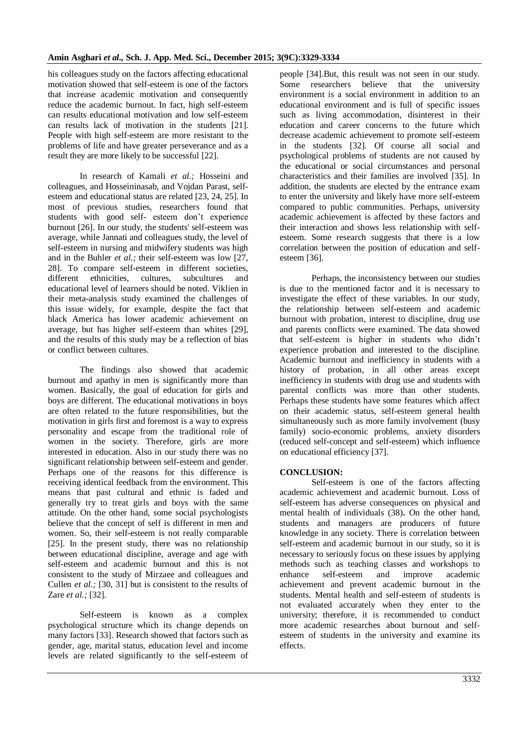his colleagues study on the factors affecting educational motivation showed that self-esteem is one of the factors that increase academic motivation and consequently reduce the academic burnout. In fact, high self-esteem can results educational motivation and low self-esteem can results lack of motivation in the students [21]. People with high self-esteem are more resistant to the problems of life and have greater perseverance and as a result they are more likely to be successful [22].

In research of Kamali *et al.;* Hosseini and colleagues, and Hosseininasab, and Vojdan Parast, selfesteem and educational status are related [23, 24, 25]. In most of previous studies, researchers found that students with good self- esteem don't experience burnout [26]. In our study, the students' self-esteem was average, while Jannati and colleagues study, the level of self-esteem in nursing and midwifery students was high and in the Buhler *et al.;* their self-esteem was low [27, 28]. To compare self-esteem in different societies, different ethnicities, cultures, subcultures and educational level of learners should be noted. Viklien in their meta-analysis study examined the challenges of this issue widely, for example, despite the fact that black America has lower academic achievement on average, but has higher self-esteem than whites [29], and the results of this study may be a reflection of bias or conflict between cultures.

The findings also showed that academic burnout and apathy in men is significantly more than women. Basically, the goal of education for girls and boys are different. The educational motivations in boys are often related to the future responsibilities, but the motivation in girls first and foremost is a way to express personality and escape from the traditional role of women in the society. Therefore, girls are more interested in education. Also in our study there was no significant relationship between self-esteem and gender. Perhaps one of the reasons for this difference is receiving identical feedback from the environment. This means that past cultural and ethnic is faded and generally try to treat girls and boys with the same attitude. On the other hand, some social psychologists believe that the concept of self is different in men and women. So, their self-esteem is not really comparable [25]. In the present study, there was no relationship between educational discipline, average and age with self-esteem and academic burnout and this is not consistent to the study of Mirzaee and colleagues and Cullen *et al.;* [30, 31] but is consistent to the results of Zare *et al.;* [32].

Self-esteem is known as a complex psychological structure which its change depends on many factors [33]. Research showed that factors such as gender, age, marital status, education level and income levels are related significantly to the self-esteem of people [34].But, this result was not seen in our study. Some researchers believe that the university environment is a social environment in addition to an educational environment and is full of specific issues such as living accommodation, disinterest in their education and career concerns to the future which decrease academic achievement to promote self-esteem in the students [32]. Of course all social and psychological problems of students are not caused by the educational or social circumstances and personal characteristics and their families are involved [35]. In addition, the students are elected by the entrance exam to enter the university and likely have more self-esteem compared to public communities. Perhaps, university academic achievement is affected by these factors and their interaction and shows less relationship with selfesteem. Some research suggests that there is a low correlation between the position of education and selfesteem [36].

Perhaps, the inconsistency between our studies is due to the mentioned factor and it is necessary to investigate the effect of these variables. In our study, the relationship between self-esteem and academic burnout with probation, interest to discipline, drug use and parents conflicts were examined. The data showed that self-esteem is higher in students who didn't experience probation and interested to the discipline. Academic burnout and inefficiency in students with a history of probation, in all other areas except inefficiency in students with drug use and students with parental conflicts was more than other students. Perhaps these students have some features which affect on their academic status, self-esteem general health simultaneously such as more family involvement (busy family) socio-economic problems, anxiety disorders (reduced self-concept and self-esteem) which influence on educational efficiency [37].

## **CONCLUSION:**

Self-esteem is one of the factors affecting academic achievement and academic burnout. Loss of self-esteem has adverse consequences on physical and mental health of individuals (38)**.** On the other hand, students and managers are producers of future knowledge in any society. There is correlation between self-esteem and academic burnout in our study, so it is necessary to seriously focus on these issues by applying methods such as teaching classes and workshops to enhance self-esteem and improve academic achievement and prevent academic burnout in the students. Mental health and self-esteem of students is not evaluated accurately when they enter to the university; therefore, it is recommended to conduct more academic researches about burnout and selfesteem of students in the university and examine its effects.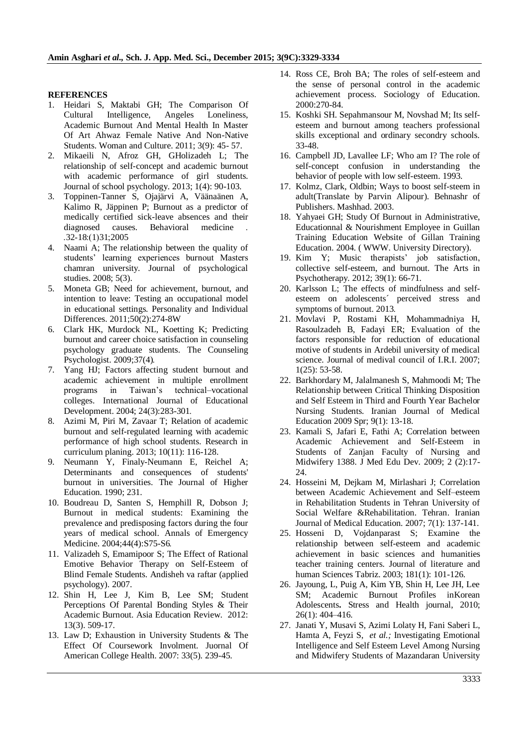#### **REFERENCES**

- 1. Heidari S, Maktabi GH; The Comparison Of Cultural Intelligence, Angeles Loneliness, Academic Burnout And Mental Health In Master Of Art Ahwaz Female Native And Non-Native Students. Woman and Culture. 2011; 3(9): 45- 57.
- 2. Mikaeili N, Afroz GH, GHolizadeh L; The relationship of self-concept and academic burnout with academic performance of girl students. Journal of school psychology. 2013; 1(4): 90-103.
- 3. Toppinen-Tanner S, Ojajärvi A, Väänaänen A, Kalimo R, Jäppinen P; Burnout as a predictor of medically certified sick-leave absences and their diagnosed causes. Behavioral medicine . .32-18:(1)31;2005
- 4. Naami A; The relationship between the quality of students' learning experiences burnout Masters chamran university. Journal of psychological studies. 2008; 5(3).
- 5. Moneta GB; Need for achievement, burnout, and intention to leave: Testing an occupational model in educational settings. Personality and Individual Differences. 2011;50(2):274-8W
- 6. Clark HK, Murdock NL, Koetting K; Predicting burnout and career choice satisfaction in counseling psychology graduate students. The Counseling Psychologist. 2009;37(4).
- 7. Yang HJ; Factors affecting student burnout and academic achievement in multiple enrollment programs in Taiwan's technical–vocational colleges. International Journal of Educational Development. 2004; 24(3):283-301.
- 8. Azimi M, Piri M, Zavaar T; Relation of academic burnout and self-regulated learning with academic performance of high school students. Research in curriculum planing. 2013; 10(11): 116-128.
- 9. Neumann Y, Finaly-Neumann E, Reichel A; Determinants and consequences of students' burnout in universities. The Journal of Higher Education. 1990; 231.
- 10. Boudreau D, Santen S, Hemphill R, Dobson J; Burnout in medical students: Examining the prevalence and predisposing factors during the four years of medical school. Annals of Emergency Medicine. 2004;44(4):S75-S6.
- 11. Valizadeh S, Emamipoor S; The Effect of Rational Emotive Behavior Therapy on Self-Esteem of Blind Female Students. Andisheh va raftar (applied psychology). 2007.
- 12. Shin H, Lee J, Kim B, Lee SM; Student Perceptions Of Parental Bonding Styles & Their Academic Burnout. Asia Education Review. 2012: 13(3). 509-17.
- 13. Law D; Exhaustion in University Students & The Effect Of Coursework Involment. Juornal Of American College Health. 2007: 33(5). 239-45.
- 14. Ross CE, Broh BA; The roles of self-esteem and the sense of personal control in the academic achievement process. Sociology of Education. 2000:270-84.
- 15. Koshki SH. Sepahmansour M, Novshad M; Its selfesteem and burnout among teachers professional skills exceptional and ordinary secondry schools. 33-48.
- 16. Campbell JD, Lavallee LF; Who am I? The role of self-concept confusion in understanding the behavior of people with low self-esteem. 1993.
- 17. Kolmz, Clark, Oldbin; Ways to boost self-steem in adult(Translate by Parvin Alipour). Behnashr of Publishers. Mashhad. 2003.
- 18. Yahyaei GH; Study Of Burnout in Administrative, Educationnal & Nourishment Employee in Guillan Training Education Website of Gillan Training Education. 2004. ( WWW. University Directory).
- 19. Kim Y; Music therapists' job satisfaction, collective self-esteem, and burnout. The Arts in Psychotherapy. 2012; 39(1): 66-71.
- 20. Karlsson L; The effects of mindfulness and selfesteem on adolescents´ perceived stress and symptoms of burnout. 2013.
- 21. Movlavi P, Rostami KH, Mohammadniya H, Rasoulzadeh B, Fadayi ER; Evaluation of the factors responsible for reduction of educational motive of students in Ardebil university of medical science. Journal of medival council of I.R.I. 2007; 1(25): 53-58.
- 22. Barkhordary M, Jalalmanesh S, Mahmoodi M; The Relationship between Critical Thinking Disposition and Self Esteem in Third and Fourth Year Bachelor Nursing Students. Iranian Journal of Medical Education 2009 Spr; 9(1): 13-18.
- 23. Kamali S, Jafari E, Fathi A; Correlation between Academic Achievement and Self-Esteem in Students of Zanjan Faculty of Nursing and Midwifery 1388. J Med Edu Dev. 2009; 2 (2):17- 24.
- 24. Hosseini M, Dejkam M, Mirlashari J; Correlation between Academic Achievement and Self–esteem in Rehabilitation Students in Tehran University of Social Welfare &Rehabilitation. Tehran. Iranian Journal of Medical Education. 2007; 7(1): 137-141.
- 25. Hosseni D, Vojdanparast S; Examine the relationship between self-esteem and academic achievement in basic sciences and humanities teacher training centers. Journal of literature and human Sciences Tabriz. 2003; 181(1): 101-126.
- 26. Jayoung, L, Puig A, Kim YB, Shin H, Lee JH, Lee SM; Academic Burnout Profiles inKorean Adolescents**.** Stress and Health journal, 2010; 26(1): 404–416.
- 27. Janati Y, Musavi S, Azimi Lolaty H, Fani Saberi L, Hamta A, Feyzi S, *et al.;* Investigating Emotional Intelligence and Self Esteem Level Among Nursing and Midwifery Students of Mazandaran University